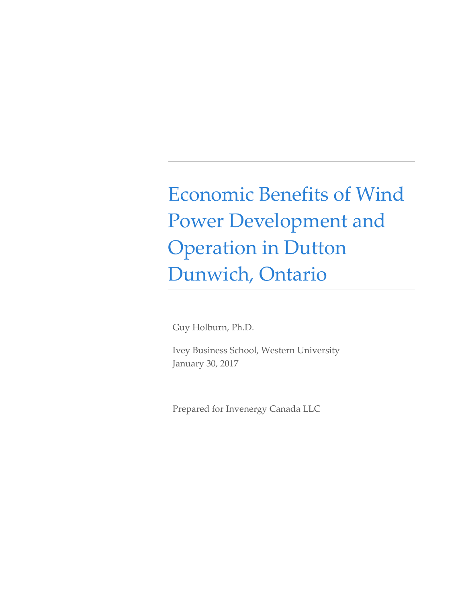Economic Benefits of Wind Power Development and Operation in Dutton Dunwich, Ontario

Guy Holburn, Ph.D.

Ivey Business School, Western University January 30, 2017

Prepared for Invenergy Canada LLC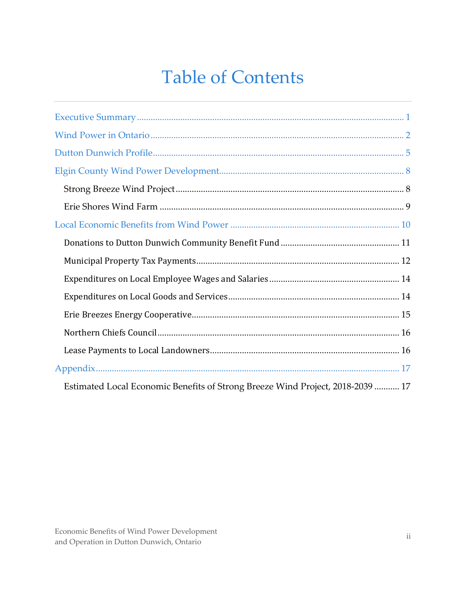## **Table of Contents**

| Estimated Local Economic Benefits of Strong Breeze Wind Project, 2018-2039  17 |  |
|--------------------------------------------------------------------------------|--|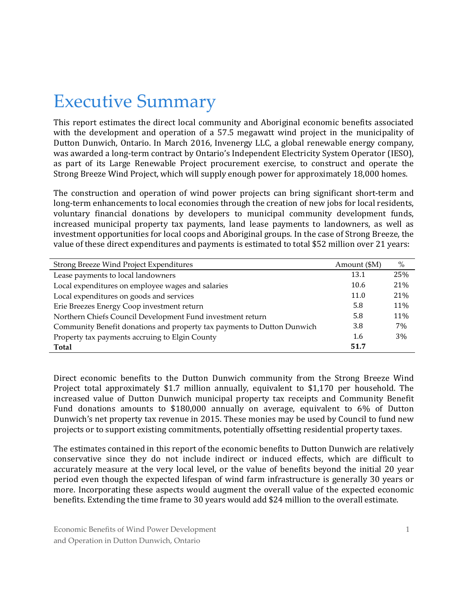### Executive Summary

This report estimates the direct local community and Aboriginal economic benefits associated with the development and operation of a 57.5 megawatt wind project in the municipality of Dutton Dunwich, Ontario. In March 2016, Invenergy LLC, a global renewable energy company, was awarded a long-term contract by Ontario's Independent Electricity System Operator (IESO), as part of its Large Renewable Project procurement exercise, to construct and operate the Strong Breeze Wind Project, which will supply enough power for approximately 18,000 homes.

The construction and operation of wind power projects can bring significant short-term and long-term enhancements to local economies through the creation of new jobs for local residents, voluntary financial donations by developers to municipal community development funds, increased municipal property tax payments, land lease payments to landowners, as well as investment opportunities for local coops and Aboriginal groups. In the case of Strong Breeze, the value of these direct expenditures and payments is estimated to total \$52 million over 21 years:

| Strong Breeze Wind Project Expenditures                                 | Amount (\$M) | $\%$ |
|-------------------------------------------------------------------------|--------------|------|
| Lease payments to local landowners                                      | 13.1         | 25%  |
| Local expenditures on employee wages and salaries                       | 10.6         | 21%  |
| Local expenditures on goods and services                                | 11.0         | 21%  |
| Erie Breezes Energy Coop investment return                              | 5.8          | 11%  |
| Northern Chiefs Council Development Fund investment return              | 5.8          | 11%  |
| Community Benefit donations and property tax payments to Dutton Dunwich | 3.8          | 7%   |
| Property tax payments accruing to Elgin County                          | 1.6          | 3%   |
| Total                                                                   | 51.7         |      |

Direct economic benefits to the Dutton Dunwich community from the Strong Breeze Wind Project total approximately \$1.7 million annually, equivalent to \$1,170 per household. The increased value of Dutton Dunwich municipal property tax receipts and Community Benefit Fund donations amounts to \$180,000 annually on average, equivalent to 6% of Dutton Dunwich's net property tax revenue in 2015. These monies may be used by Council to fund new projects or to support existing commitments, potentially offsetting residential property taxes.

The estimates contained in this report of the economic benefits to Dutton Dunwich are relatively conservative since they do not include indirect or induced effects, which are difficult to accurately measure at the very local level, or the value of benefits beyond the initial 20 year period even though the expected lifespan of wind farm infrastructure is generally 30 years or more. Incorporating these aspects would augment the overall value of the expected economic benefits. Extending the time frame to 30 years would add \$24 million to the overall estimate.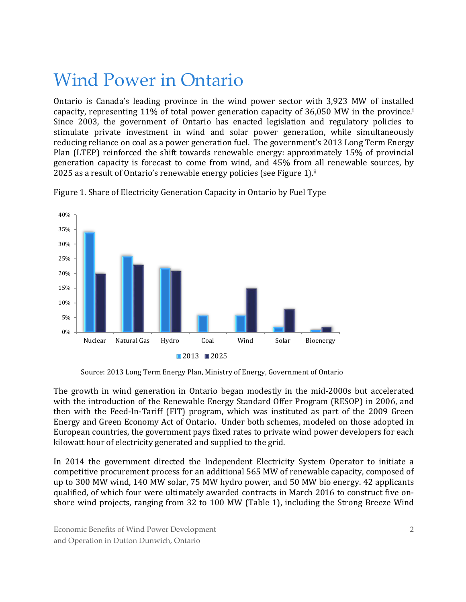### Wind Power in Ontario

Ontario is Canada's leading province in the wind power sector with 3,923 MW of installed capacity, representing 11% of total power generation capacity of 36,050 MW in the province.i Since 2003, the government of Ontario has enacted legislation and regulatory policies to stimulate private investment in wind and solar power generation, while simultaneously reducing reliance on coal as a power generation fuel. The government's 2013 Long Term Energy Plan (LTEP) reinforced the shift towards renewable energy: approximately 15% of provincial generation capacity is forecast to come from wind, and 45% from all renewable sources, by 2025 as a result of Ontario's renewable energy policies (see Figure 1). ii



Figure 1. Share of Electricity Generation Capacity in Ontario by Fuel Type

The growth in wind generation in Ontario began modestly in the mid-2000s but accelerated with the introduction of the Renewable Energy Standard Offer Program (RESOP) in 2006, and then with the Feed-In-Tariff (FIT) program, which was instituted as part of the 2009 Green Energy and Green Economy Act of Ontario. Under both schemes, modeled on those adopted in European countries, the government pays fixed rates to private wind power developers for each kilowatt hour of electricity generated and supplied to the grid.

In 2014 the government directed the Independent Electricity System Operator to initiate a competitive procurement process for an additional 565 MW of renewable capacity, composed of up to 300 MW wind, 140 MW solar, 75 MW hydro power, and 50 MW bio energy. 42 applicants qualified, of which four were ultimately awarded contracts in March 2016 to construct five onshore wind projects, ranging from 32 to 100 MW (Table 1), including the Strong Breeze Wind

Source: 2013 Long Term Energy Plan, Ministry of Energy, Government of Ontario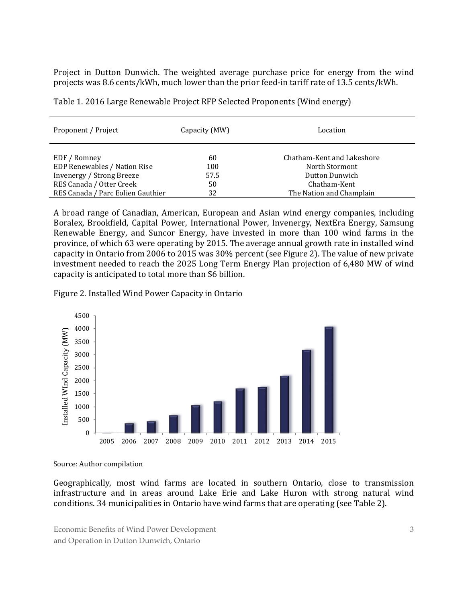Project in Dutton Dunwich. The weighted average purchase price for energy from the wind projects was 8.6 cents/kWh, much lower than the prior feed-in tariff rate of 13.5 cents/kWh.

| Proponent / Project                          | Capacity (MW) | Location                                     |
|----------------------------------------------|---------------|----------------------------------------------|
| EDF / Romney<br>EDP Renewables / Nation Rise | 60<br>100     | Chatham-Kent and Lakeshore<br>North Stormont |
| <b>Invenergy / Strong Breeze</b>             | 57.5          | Dutton Dunwich                               |
| RES Canada / Otter Creek                     | 50            | Chatham-Kent                                 |
| RES Canada / Parc Eolien Gauthier            | 32            | The Nation and Champlain                     |

Table 1. 2016 Large Renewable Project RFP Selected Proponents (Wind energy)

A broad range of Canadian, American, European and Asian wind energy companies, including Boralex, Brookfield, Capital Power, International Power, Invenergy, NextEra Energy, Samsung Renewable Energy, and Suncor Energy, have invested in more than 100 wind farms in the province, of which 63 were operating by 2015. The average annual growth rate in installed wind capacity in Ontario from 2006 to 2015 was 30% percent (see Figure 2). The value of new private investment needed to reach the 2025 Long Term Energy Plan projection of 6,480 MW of wind capacity is anticipated to total more than \$6 billion.

Figure 2. Installed Wind Power Capacity in Ontario



Source: Author compilation

Geographically, most wind farms are located in southern Ontario, close to transmission infrastructure and in areas around Lake Erie and Lake Huron with strong natural wind conditions. 34 municipalities in Ontario have wind farms that are operating (see Table 2).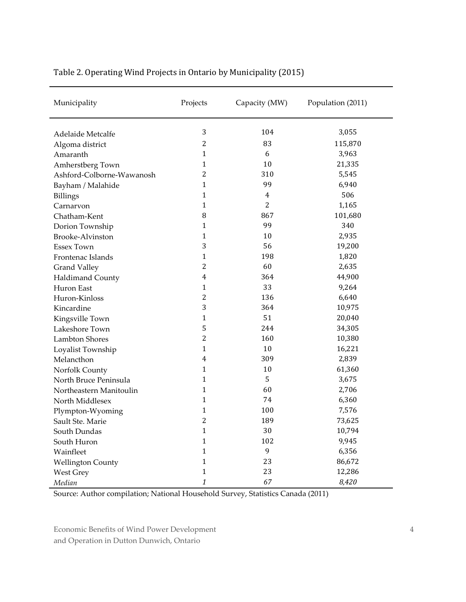| 3<br>104<br>3,055<br>Adelaide Metcalfe                                           |  |
|----------------------------------------------------------------------------------|--|
|                                                                                  |  |
|                                                                                  |  |
| $\overline{c}$<br>83<br>115,870<br>Algoma district<br>$\mathbf{1}$<br>6<br>3,963 |  |
| Amaranth<br>$\mathbf{1}$<br>10<br>21,335                                         |  |
| Amherstberg Town<br>$\overline{c}$                                               |  |
| 5,545<br>310<br>Ashford-Colborne-Wawanosh<br>$\mathbf{1}$<br>99                  |  |
| 6,940<br>Bayham / Malahide                                                       |  |
| $\mathbf{1}$<br>506<br>4<br><b>Billings</b>                                      |  |
| 2<br>1<br>1,165<br>Carnarvon                                                     |  |
| 8<br>867<br>101,680<br>Chatham-Kent                                              |  |
| 99<br>1<br>340<br>Dorion Township                                                |  |
| $\mathbf{1}$<br>10<br>2,935<br>Brooke-Alvinston                                  |  |
| 3<br>56<br>19,200<br><b>Essex Town</b>                                           |  |
| $\mathbf{1}$<br>198<br>1,820<br>Frontenac Islands                                |  |
| $\overline{c}$<br>60<br>2,635<br><b>Grand Valley</b>                             |  |
| 4<br>364<br>44,900<br>Haldimand County                                           |  |
| 33<br>9,264<br>$\mathbf{1}$<br>Huron East                                        |  |
| $\overline{2}$<br>136<br>6,640<br>Huron-Kinloss                                  |  |
| 3<br>364<br>10,975<br>Kincardine                                                 |  |
| 51<br>$\mathbf{1}$<br>20,040<br>Kingsville Town                                  |  |
| 5<br>244<br>34,305<br>Lakeshore Town                                             |  |
| $\overline{c}$<br>160<br>10,380<br>Lambton Shores                                |  |
| $\mathbf{1}$<br>10<br>16,221<br>Loyalist Township                                |  |
| 4<br>309<br>2,839<br>Melancthon                                                  |  |
| 10<br>61,360<br>1<br>Norfolk County                                              |  |
| 5<br>3,675<br>1<br>North Bruce Peninsula                                         |  |
| $\mathbf{1}$<br>60<br>2,706<br>Northeastern Manitoulin                           |  |
| $\mathbf{1}$<br>74<br>6,360<br>North Middlesex                                   |  |
| $\mathbf{1}$<br>100<br>7,576<br>Plympton-Wyoming                                 |  |
| $\overline{2}$<br>189<br>73,625<br>Sault Ste. Marie                              |  |
| $\mathbf{1}$<br>30<br>10,794<br>South Dundas                                     |  |
| $\mathbf{1}$<br>102<br>9,945<br>South Huron                                      |  |
| $\mathbf{1}$<br>9<br>6,356<br>Wainfleet                                          |  |
| $\mathbf{1}$<br>23<br>86,672<br><b>Wellington County</b>                         |  |
| $\mathbf{1}$<br>23<br>12,286<br><b>West Grey</b>                                 |  |
| 1<br>67<br>8,420<br>Median                                                       |  |

#### Table 2. Operating Wind Projects in Ontario by Municipality (2015)

Source: Author compilation; National Household Survey, Statistics Canada (2011)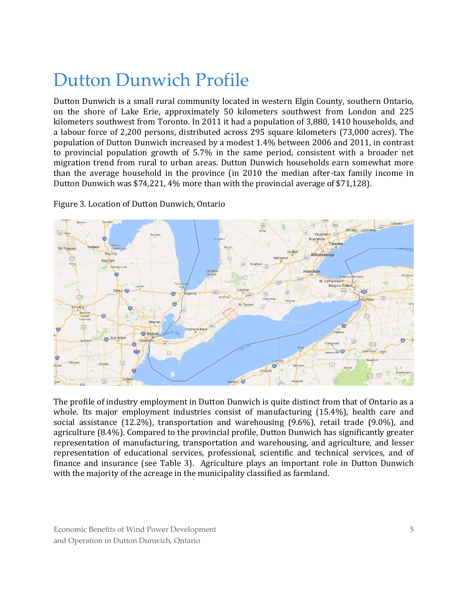### Dutton Dunwich Profile

Dutton Dunwich is a small rural community located in western Elgin County, southern Ontario, on the shore of Lake Erie, approximately 50 kilometers southwest from London and 225 kilometers southwest from Toronto. In 2011 it had a population of 3,880, 1410 households, and a labour force of 2,200 persons, distributed across 295 square kilometers (73,000 acres). The population of Dutton Dunwich increased by a modest 1.4% between 2006 and 2011, in contrast to provincial population growth of 5.7% in the same period, consistent with a broader net migration trend from rural to urban areas. Dutton Dunwich households earn somewhat more than the average household in the province (in 2010 the median after-tax family income in Dutton Dunwich was \$74,221, 4% more than with the provincial average of \$71,128).



Figure 3. Location of Dutton Dunwich, Ontario

The profile of industry employment in Dutton Dunwich is quite distinct from that of Ontario as a whole. Its major employment industries consist of manufacturing (15.4%), health care and social assistance (12.2%), transportation and warehousing (9.6%), retail trade (9.0%), and agriculture (8.4%). Compared to the provincial profile, Dutton Dunwich has significantly greater representation of manufacturing, transportation and warehousing, and agriculture, and lesser representation of educational services, professional, scientific and technical services, and of finance and insurance (see Table 3). Agriculture plays an important role in Dutton Dunwich with the majority of the acreage in the municipality classified as farmland.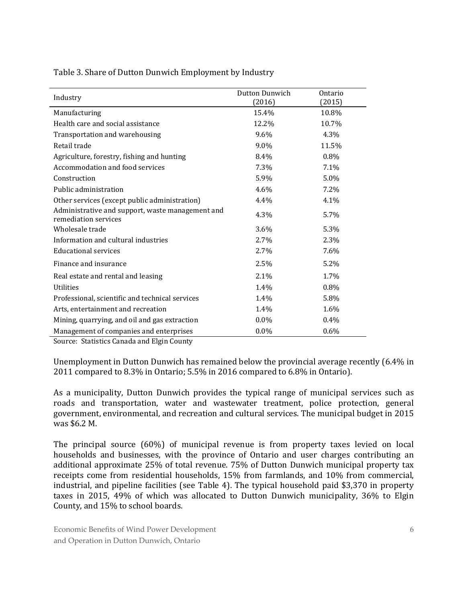Table 3. Share of Dutton Dunwich Employment by Industry

| Industry                                                                 | Dutton Dunwich | Ontario |
|--------------------------------------------------------------------------|----------------|---------|
|                                                                          | (2016)         | (2015)  |
| Manufacturing                                                            | 15.4%          | 10.8%   |
| Health care and social assistance                                        | 12.2%          | 10.7%   |
| Transportation and warehousing                                           | $9.6\%$        | 4.3%    |
| Retail trade                                                             | 9.0%           | 11.5%   |
| Agriculture, forestry, fishing and hunting                               | 8.4%           | $0.8\%$ |
| Accommodation and food services                                          | 7.3%           | 7.1%    |
| Construction                                                             | 5.9%           | 5.0%    |
| Public administration                                                    | 4.6%           | 7.2%    |
| Other services (except public administration)                            | 4.4%           | 4.1%    |
| Administrative and support, waste management and<br>remediation services | 4.3%           | 5.7%    |
| Wholesale trade                                                          | $3.6\%$        | 5.3%    |
| Information and cultural industries                                      | 2.7%           | 2.3%    |
| <b>Educational services</b>                                              | 2.7%           | 7.6%    |
| Finance and insurance                                                    | 2.5%           | 5.2%    |
| Real estate and rental and leasing                                       | 2.1%           | 1.7%    |
| <b>Utilities</b>                                                         | 1.4%           | 0.8%    |
| Professional, scientific and technical services                          | 1.4%           | 5.8%    |
| Arts, entertainment and recreation                                       | 1.4%           | 1.6%    |
| Mining, quarrying, and oil and gas extraction                            | $0.0\%$        | 0.4%    |
| Management of companies and enterprises                                  | $0.0\%$        | 0.6%    |

Source: Statistics Canada and Elgin County

Unemployment in Dutton Dunwich has remained below the provincial average recently (6.4% in 2011 compared to 8.3% in Ontario; 5.5% in 2016 compared to 6.8% in Ontario).

As a municipality, Dutton Dunwich provides the typical range of municipal services such as roads and transportation, water and wastewater treatment, police protection, general government, environmental, and recreation and cultural services. The municipal budget in 2015 was \$6.2 M.

The principal source (60%) of municipal revenue is from property taxes levied on local households and businesses, with the province of Ontario and user charges contributing an additional approximate 25% of total revenue. 75% of Dutton Dunwich municipal property tax receipts come from residential households, 15% from farmlands, and 10% from commercial, industrial, and pipeline facilities (see Table 4). The typical household paid \$3,370 in property taxes in 2015, 49% of which was allocated to Dutton Dunwich municipality, 36% to Elgin County, and 15% to school boards.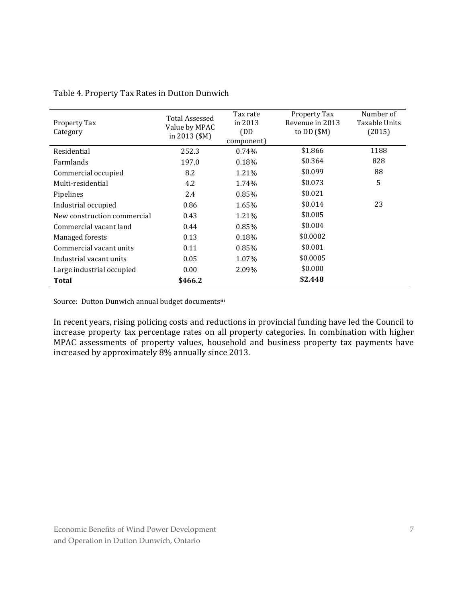| Property Tax<br>Category    | <b>Total Assessed</b><br>Value by MPAC<br>in 2013 $$M$$ | Tax rate<br>in 2013<br>(DD)<br>component) | Property Tax<br>Revenue in 2013<br>to $DD($ \$M $)$ | Number of<br>Taxable Units<br>(2015) |
|-----------------------------|---------------------------------------------------------|-------------------------------------------|-----------------------------------------------------|--------------------------------------|
| Residential                 | 252.3                                                   | 0.74%                                     | \$1.866                                             | 1188                                 |
| Farmlands                   | 197.0                                                   | 0.18%                                     | \$0.364                                             | 828                                  |
| Commercial occupied         | 8.2                                                     | 1.21%                                     | \$0.099                                             | 88                                   |
| Multi-residential           | 4.2                                                     | 1.74%                                     | \$0.073                                             | 5                                    |
| Pipelines                   | 2.4                                                     | 0.85%                                     | \$0.021                                             |                                      |
| Industrial occupied         | 0.86                                                    | 1.65%                                     | \$0.014                                             | 23                                   |
| New construction commercial | 0.43                                                    | 1.21%                                     | \$0.005                                             |                                      |
| Commercial vacant land      | 0.44                                                    | 0.85%                                     | \$0.004                                             |                                      |
| Managed forests             | 0.13                                                    | 0.18%                                     | \$0.0002                                            |                                      |
| Commercial vacant units     | 0.11                                                    | 0.85%                                     | \$0.001                                             |                                      |
| Industrial vacant units     | 0.05                                                    | 1.07%                                     | \$0.0005                                            |                                      |
| Large industrial occupied   | 0.00                                                    | 2.09%                                     | \$0.000                                             |                                      |
| Total                       | \$466.2                                                 |                                           | \$2.448                                             |                                      |

Table 4. Property Tax Rates in Dutton Dunwich

Source: Dutton Dunwich annual budget documents**iii**

In recent years, rising policing costs and reductions in provincial funding have led the Council to increase property tax percentage rates on all property categories. In combination with higher MPAC assessments of property values, household and business property tax payments have increased by approximately 8% annually since 2013.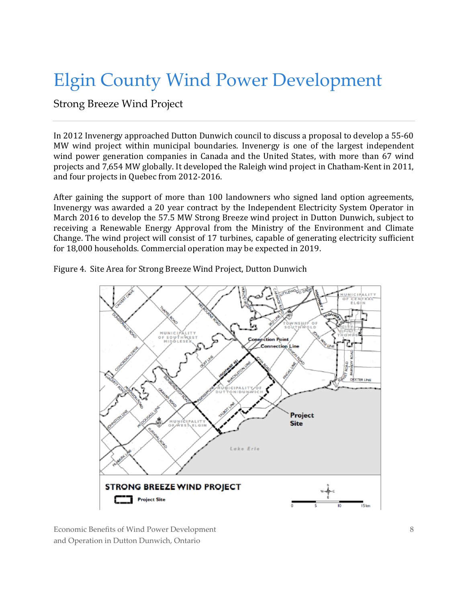### Elgin County Wind Power Development

Strong Breeze Wind Project

In 2012 Invenergy approached Dutton Dunwich council to discuss a proposal to develop a 55-60 MW wind project within municipal boundaries. Invenergy is one of the largest independent wind power generation companies in Canada and the United States, with more than 67 wind projects and 7,654 MW globally. It developed the Raleigh wind project in Chatham-Kent in 2011, and four projects in Quebec from 2012-2016.

After gaining the support of more than 100 landowners who signed land option agreements, Invenergy was awarded a 20 year contract by the Independent Electricity System Operator in March 2016 to develop the 57.5 MW Strong Breeze wind project in Dutton Dunwich, subject to receiving a Renewable Energy Approval from the Ministry of the Environment and Climate Change. The wind project will consist of 17 turbines, capable of generating electricity sufficient for 18,000 households. Commercial operation may be expected in 2019.

Figure 4. Site Area for Strong Breeze Wind Project, Dutton Dunwich

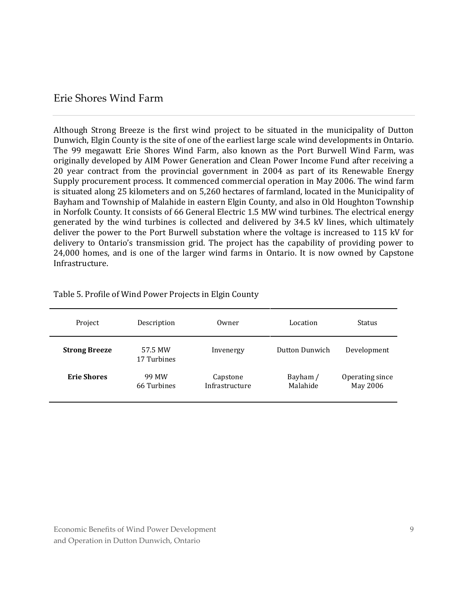#### Erie Shores Wind Farm

Although Strong Breeze is the first wind project to be situated in the municipality of Dutton Dunwich, Elgin County is the site of one of the earliest large scale wind developments in Ontario. The 99 megawatt Erie Shores Wind Farm, also known as the Port Burwell Wind Farm, was originally developed by AIM Power Generation and Clean Power Income Fund after receiving a 20 year contract from the provincial government in 2004 as part of its Renewable Energy Supply procurement process. It commenced commercial operation in May 2006. The wind farm is situated along 25 kilometers and on 5,260 hectares of farmland, located in the Municipality of Bayham and Township of Malahide in eastern Elgin County, and also in Old Houghton Township in Norfolk County. It consists of 66 General Electric 1.5 MW wind turbines. The electrical energy generated by the wind turbines is collected and delivered by 34.5 kV lines, which ultimately deliver the power to the Port Burwell substation where the voltage is increased to 115 kV for delivery to Ontario's transmission grid. The project has the capability of providing power to 24,000 homes, and is one of the larger wind farms in Ontario. It is now owned by Capstone Infrastructure.

| Project              | Description            | Owner                      | Location             | <b>Status</b>               |
|----------------------|------------------------|----------------------------|----------------------|-----------------------------|
| <b>Strong Breeze</b> | 57.5 MW<br>17 Turbines | Invenergy                  | Dutton Dunwich       | Development                 |
| <b>Erie Shores</b>   | 99 MW<br>66 Turbines   | Capstone<br>Infrastructure | Bayham /<br>Malahide | Operating since<br>May 2006 |

Table 5. Profile of Wind Power Projects in Elgin County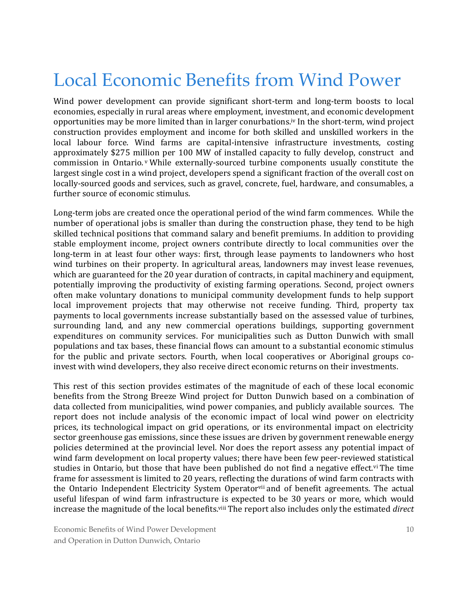### Local Economic Benefits from Wind Power

Wind power development can provide significant short-term and long-term boosts to local economies, especially in rural areas where employment, investment, and economic development opportunities may be more limited than in larger conurbations.iv In the short-term, wind project construction provides employment and income for both skilled and unskilled workers in the local labour force. Wind farms are capital-intensive infrastructure investments, costing approximately \$275 million per 100 MW of installed capacity to fully develop, construct and commission in Ontario. <sup>v</sup> While externally-sourced turbine components usually constitute the largest single cost in a wind project, developers spend a significant fraction of the overall cost on locally-sourced goods and services, such as gravel, concrete, fuel, hardware, and consumables, a further source of economic stimulus.

Long-term jobs are created once the operational period of the wind farm commences. While the number of operational jobs is smaller than during the construction phase, they tend to be high skilled technical positions that command salary and benefit premiums. In addition to providing stable employment income, project owners contribute directly to local communities over the long-term in at least four other ways: first, through lease payments to landowners who host wind turbines on their property. In agricultural areas, landowners may invest lease revenues, which are guaranteed for the 20 year duration of contracts, in capital machinery and equipment, potentially improving the productivity of existing farming operations. Second, project owners often make voluntary donations to municipal community development funds to help support local improvement projects that may otherwise not receive funding. Third, property tax payments to local governments increase substantially based on the assessed value of turbines, surrounding land, and any new commercial operations buildings, supporting government expenditures on community services. For municipalities such as Dutton Dunwich with small populations and tax bases, these financial flows can amount to a substantial economic stimulus for the public and private sectors. Fourth, when local cooperatives or Aboriginal groups coinvest with wind developers, they also receive direct economic returns on their investments.

This rest of this section provides estimates of the magnitude of each of these local economic benefits from the Strong Breeze Wind project for Dutton Dunwich based on a combination of data collected from municipalities, wind power companies, and publicly available sources. The report does not include analysis of the economic impact of local wind power on electricity prices, its technological impact on grid operations, or its environmental impact on electricity sector greenhouse gas emissions, since these issues are driven by government renewable energy policies determined at the provincial level. Nor does the report assess any potential impact of wind farm development on local property values; there have been few peer-reviewed statistical studies in Ontario, but those that have been published do not find a negative effect.<sup>vi</sup> The time frame for assessment is limited to 20 years, reflecting the durations of wind farm contracts with the Ontario Independent Electricity System Operator<sup>vii</sup> and of benefit agreements. The actual useful lifespan of wind farm infrastructure is expected to be 30 years or more, which would increase the magnitude of the local benefits. viii The report also includes only the estimated *direct*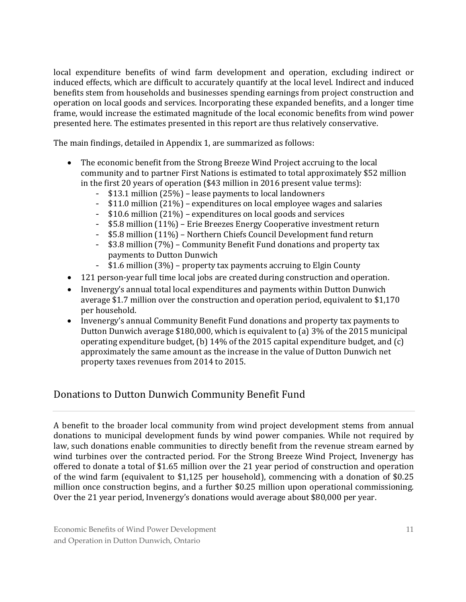local expenditure benefits of wind farm development and operation, excluding indirect or induced effects, which are difficult to accurately quantify at the local level. Indirect and induced benefits stem from households and businesses spending earnings from project construction and operation on local goods and services. Incorporating these expanded benefits, and a longer time frame, would increase the estimated magnitude of the local economic benefits from wind power presented here. The estimates presented in this report are thus relatively conservative.

The main findings, detailed in Appendix 1, are summarized as follows:

- The economic benefit from the Strong Breeze Wind Project accruing to the local community and to partner First Nations is estimated to total approximately \$52 million in the first 20 years of operation (\$43 million in 2016 present value terms):
	- \$13.1 million (25%) lease payments to local landowners
	- \$11.0 million (21%) expenditures on local employee wages and salaries
	- \$10.6 million (21%) expenditures on local goods and services
	- \$5.8 million (11%) Erie Breezes Energy Cooperative investment return
	- \$5.8 million (11%) Northern Chiefs Council Development fund return
	- \$3.8 million (7%) Community Benefit Fund donations and property tax payments to Dutton Dunwich
	- $$1.6$  million  $(3%)$  property tax payments accruing to Elgin County
- 121 person-year full time local jobs are created during construction and operation.
- Invenergy's annual total local expenditures and payments within Dutton Dunwich average \$1.7 million over the construction and operation period, equivalent to \$1,170 per household.
- Invenergy's annual Community Benefit Fund donations and property tax payments to Dutton Dunwich average \$180,000, which is equivalent to (a) 3% of the 2015 municipal operating expenditure budget, (b) 14% of the 2015 capital expenditure budget, and (c) approximately the same amount as the increase in the value of Dutton Dunwich net property taxes revenues from 2014 to 2015.

#### Donations to Dutton Dunwich Community Benefit Fund

A benefit to the broader local community from wind project development stems from annual donations to municipal development funds by wind power companies. While not required by law, such donations enable communities to directly benefit from the revenue stream earned by wind turbines over the contracted period. For the Strong Breeze Wind Project, Invenergy has offered to donate a total of \$1.65 million over the 21 year period of construction and operation of the wind farm (equivalent to \$1,125 per household), commencing with a donation of \$0.25 million once construction begins, and a further \$0.25 million upon operational commissioning. Over the 21 year period, Invenergy's donations would average about \$80,000 per year.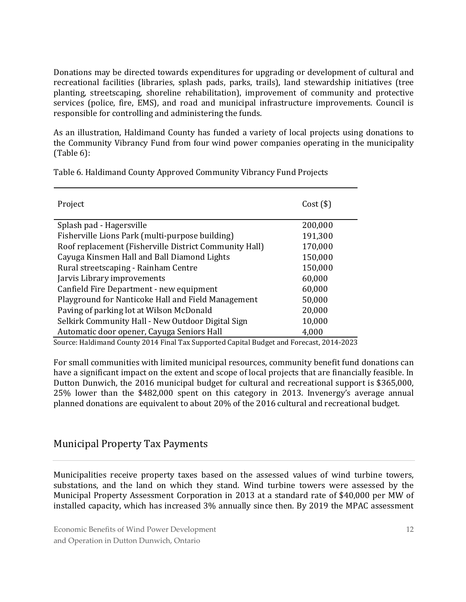Donations may be directed towards expenditures for upgrading or development of cultural and recreational facilities (libraries, splash pads, parks, trails), land stewardship initiatives (tree planting, streetscaping, shoreline rehabilitation), improvement of community and protective services (police, fire, EMS), and road and municipal infrastructure improvements. Council is responsible for controlling and administering the funds.

As an illustration, Haldimand County has funded a variety of local projects using donations to the Community Vibrancy Fund from four wind power companies operating in the municipality (Table 6):

| Project                                                | $Cost($ \$) |
|--------------------------------------------------------|-------------|
| Splash pad - Hagersville                               | 200,000     |
| Fisherville Lions Park (multi-purpose building)        | 191,300     |
| Roof replacement (Fisherville District Community Hall) | 170,000     |
| Cayuga Kinsmen Hall and Ball Diamond Lights            | 150,000     |
| Rural streetscaping - Rainham Centre                   | 150,000     |
| Jarvis Library improvements                            | 60,000      |
| Canfield Fire Department - new equipment               | 60,000      |
| Playground for Nanticoke Hall and Field Management     | 50,000      |
| Paving of parking lot at Wilson McDonald               | 20,000      |
| Selkirk Community Hall - New Outdoor Digital Sign      | 10,000      |
| Automatic door opener, Cayuga Seniors Hall             | 4,000       |

Table 6. Haldimand County Approved Community Vibrancy Fund Projects

Source: Haldimand County 2014 Final Tax Supported Capital Budget and Forecast, 2014-2023

For small communities with limited municipal resources, community benefit fund donations can have a significant impact on the extent and scope of local projects that are financially feasible. In Dutton Dunwich, the 2016 municipal budget for cultural and recreational support is \$365,000, 25% lower than the \$482,000 spent on this category in 2013. Invenergy's average annual planned donations are equivalent to about 20% of the 2016 cultural and recreational budget.

#### Municipal Property Tax Payments

Municipalities receive property taxes based on the assessed values of wind turbine towers, substations, and the land on which they stand. Wind turbine towers were assessed by the Municipal Property Assessment Corporation in 2013 at a standard rate of \$40,000 per MW of installed capacity, which has increased 3% annually since then. By 2019 the MPAC assessment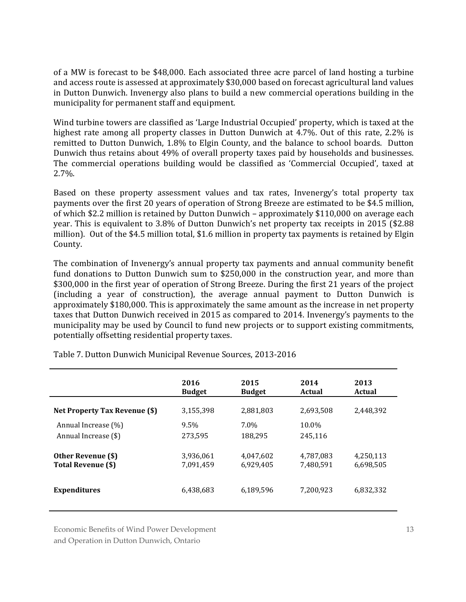of a MW is forecast to be \$48,000. Each associated three acre parcel of land hosting a turbine and access route is assessed at approximately \$30,000 based on forecast agricultural land values in Dutton Dunwich. Invenergy also plans to build a new commercial operations building in the municipality for permanent staff and equipment.

Wind turbine towers are classified as 'Large Industrial Occupied' property, which is taxed at the highest rate among all property classes in Dutton Dunwich at 4.7%. Out of this rate, 2.2% is remitted to Dutton Dunwich, 1.8% to Elgin County, and the balance to school boards. Dutton Dunwich thus retains about 49% of overall property taxes paid by households and businesses. The commercial operations building would be classified as 'Commercial Occupied', taxed at 2.7%.

Based on these property assessment values and tax rates, Invenergy's total property tax payments over the first 20 years of operation of Strong Breeze are estimated to be \$4.5 million, of which \$2.2 million is retained by Dutton Dunwich – approximately \$110,000 on average each year. This is equivalent to 3.8% of Dutton Dunwich's net property tax receipts in 2015 (\$2.88 million). Out of the \$4.5 million total, \$1.6 million in property tax payments is retained by Elgin County.

The combination of Invenergy's annual property tax payments and annual community benefit fund donations to Dutton Dunwich sum to \$250,000 in the construction year, and more than \$300,000 in the first year of operation of Strong Breeze. During the first 21 years of the project (including a year of construction), the average annual payment to Dutton Dunwich is approximately \$180,000. This is approximately the same amount as the increase in net property taxes that Dutton Dunwich received in 2015 as compared to 2014. Invenergy's payments to the municipality may be used by Council to fund new projects or to support existing commitments, potentially offsetting residential property taxes.

|                                      | 2016          | 2015          | 2014      | 2013      |  |  |
|--------------------------------------|---------------|---------------|-----------|-----------|--|--|
|                                      | <b>Budget</b> | <b>Budget</b> | Actual    | Actual    |  |  |
| <b>Net Property Tax Revenue (\$)</b> | 3,155,398     | 2,881,803     | 2,693,508 | 2,448,392 |  |  |
| Annual Increase (%)                  | 9.5%          | $7.0\%$       | 10.0%     |           |  |  |
| Annual Increase (\$)                 | 273,595       | 188,295       | 245.116   |           |  |  |
| Other Revenue (\$)                   | 3,936,061     | 4.047.602     | 4,787,083 | 4,250,113 |  |  |
| Total Revenue (\$)                   | 7,091,459     | 6,929,405     | 7,480,591 | 6,698,505 |  |  |
| <b>Expenditures</b>                  | 6,438,683     | 6,189,596     | 7,200,923 | 6,832,332 |  |  |

Table 7. Dutton Dunwich Municipal Revenue Sources, 2013-2016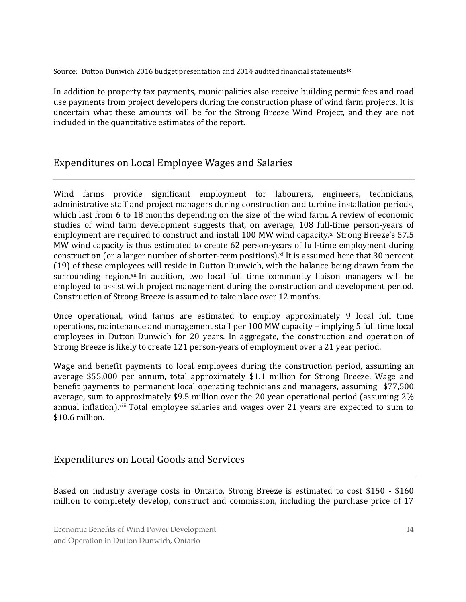Source: Dutton Dunwich 2016 budget presentation and 2014 audited financial statements**ix**

In addition to property tax payments, municipalities also receive building permit fees and road use payments from project developers during the construction phase of wind farm projects. It is uncertain what these amounts will be for the Strong Breeze Wind Project, and they are not included in the quantitative estimates of the report.

#### Expenditures on Local Employee Wages and Salaries

Wind farms provide significant employment for labourers, engineers, technicians, administrative staff and project managers during construction and turbine installation periods, which last from 6 to 18 months depending on the size of the wind farm. A review of economic studies of wind farm development suggests that, on average, 108 full-time person-years of employment are required to construct and install 100 MW wind capacity.<sup>x</sup> Strong Breeze's 57.5 MW wind capacity is thus estimated to create 62 person-years of full-time employment during construction (or a larger number of shorter-term positions). xi It is assumed here that 30 percent (19) of these employees will reside in Dutton Dunwich, with the balance being drawn from the surrounding region.<sup>xii</sup> In addition, two local full time community liaison managers will be employed to assist with project management during the construction and development period. Construction of Strong Breeze is assumed to take place over 12 months.

Once operational, wind farms are estimated to employ approximately 9 local full time operations, maintenance and management staff per 100 MW capacity – implying 5 full time local employees in Dutton Dunwich for 20 years. In aggregate, the construction and operation of Strong Breeze is likely to create 121 person-years of employment over a 21 year period.

Wage and benefit payments to local employees during the construction period, assuming an average \$55,000 per annum, total approximately \$1.1 million for Strong Breeze. Wage and benefit payments to permanent local operating technicians and managers, assuming \$77,500 average, sum to approximately \$9.5 million over the 20 year operational period (assuming 2% annual inflation).<sup>xiii</sup> Total employee salaries and wages over 21 years are expected to sum to \$10.6 million.

#### Expenditures on Local Goods and Services

Based on industry average costs in Ontario, Strong Breeze is estimated to cost \$150 - \$160 million to completely develop, construct and commission, including the purchase price of 17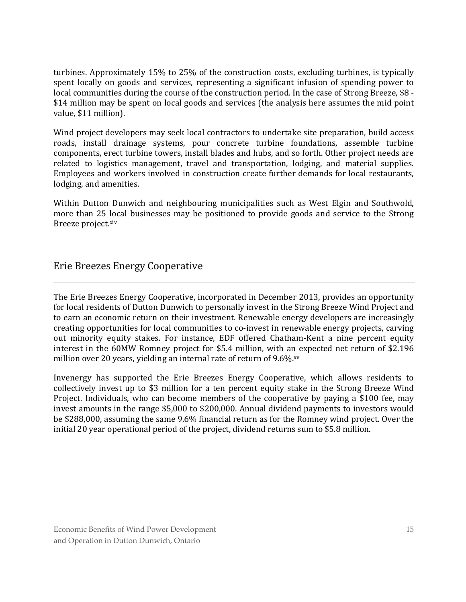turbines. Approximately 15% to 25% of the construction costs, excluding turbines, is typically spent locally on goods and services, representing a significant infusion of spending power to local communities during the course of the construction period. In the case of Strong Breeze, \$8 -\$14 million may be spent on local goods and services (the analysis here assumes the mid point value, \$11 million).

Wind project developers may seek local contractors to undertake site preparation, build access roads, install drainage systems, pour concrete turbine foundations, assemble turbine components, erect turbine towers, install blades and hubs, and so forth. Other project needs are related to logistics management, travel and transportation, lodging, and material supplies. Employees and workers involved in construction create further demands for local restaurants, lodging, and amenities.

Within Dutton Dunwich and neighbouring municipalities such as West Elgin and Southwold, more than 25 local businesses may be positioned to provide goods and service to the Strong Breeze project.<sup>xiv</sup>

#### Erie Breezes Energy Cooperative

The Erie Breezes Energy Cooperative, incorporated in December 2013, provides an opportunity for local residents of Dutton Dunwich to personally invest in the Strong Breeze Wind Project and to earn an economic return on their investment. Renewable energy developers are increasingly creating opportunities for local communities to co-invest in renewable energy projects, carving out minority equity stakes. For instance, EDF offered Chatham-Kent a nine percent equity interest in the 60MW Romney project for \$5.4 million, with an expected net return of \$2.196 million over 20 years, yielding an internal rate of return of 9.6%.xv

Invenergy has supported the Erie Breezes Energy Cooperative, which allows residents to collectively invest up to \$3 million for a ten percent equity stake in the Strong Breeze Wind Project. Individuals, who can become members of the cooperative by paying a \$100 fee, may invest amounts in the range \$5,000 to \$200,000. Annual dividend payments to investors would be \$288,000, assuming the same 9.6% financial return as for the Romney wind project. Over the initial 20 year operational period of the project, dividend returns sum to \$5.8 million.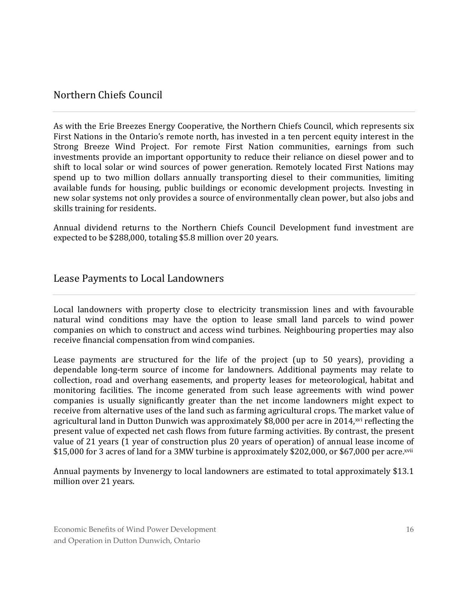#### Northern Chiefs Council

As with the Erie Breezes Energy Cooperative, the Northern Chiefs Council, which represents six First Nations in the Ontario's remote north, has invested in a ten percent equity interest in the Strong Breeze Wind Project. For remote First Nation communities, earnings from such investments provide an important opportunity to reduce their reliance on diesel power and to shift to local solar or wind sources of power generation. Remotely located First Nations may spend up to two million dollars annually transporting diesel to their communities, limiting available funds for housing, public buildings or economic development projects. Investing in new solar systems not only provides a source of environmentally clean power, but also jobs and skills training for residents.

Annual dividend returns to the Northern Chiefs Council Development fund investment are expected to be \$288,000, totaling \$5.8 million over 20 years.

#### Lease Payments to Local Landowners

Local landowners with property close to electricity transmission lines and with favourable natural wind conditions may have the option to lease small land parcels to wind power companies on which to construct and access wind turbines. Neighbouring properties may also receive financial compensation from wind companies.

Lease payments are structured for the life of the project (up to 50 years), providing a dependable long-term source of income for landowners. Additional payments may relate to collection, road and overhang easements, and property leases for meteorological, habitat and monitoring facilities. The income generated from such lease agreements with wind power companies is usually significantly greater than the net income landowners might expect to receive from alternative uses of the land such as farming agricultural crops. The market value of agricultural land in Dutton Dunwich was approximately \$8,000 per acre in 2014,<sup>xvi</sup> reflecting the present value of expected net cash flows from future farming activities. By contrast, the present value of 21 years (1 year of construction plus 20 years of operation) of annual lease income of \$15,000 for 3 acres of land for a 3MW turbine is approximately \$202,000, or \$67,000 per acre.xvii

Annual payments by Invenergy to local landowners are estimated to total approximately \$13.1 million over 21 years.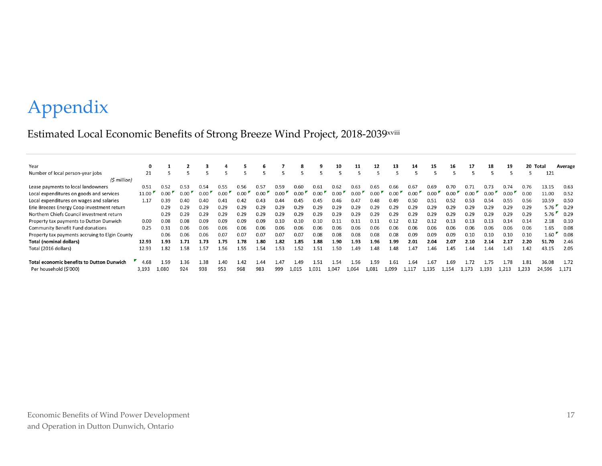# Appendix

### Estimated Local Economic Benefits of Strong Breeze Wind Project, 2018-2039xviii

| Year                                             | 0     |       |      |      |      |      | 6    |      | 8     | 9    | 10    | 11    | 12    | 13    | 14    | 15    | 16    | 17    | 18    | 19    | 20    | Total  | Average |
|--------------------------------------------------|-------|-------|------|------|------|------|------|------|-------|------|-------|-------|-------|-------|-------|-------|-------|-------|-------|-------|-------|--------|---------|
| Number of local person-year jobs                 | 21    |       |      |      |      |      |      |      |       |      |       |       |       |       |       |       |       |       |       |       |       | 121    |         |
| (\$ million)                                     |       |       |      |      |      |      |      |      |       |      |       |       |       |       |       |       |       |       |       |       |       |        |         |
| Lease payments to local landowners               | 0.51  | 0.52  | 0.53 | 0.54 | 0.55 | 0.56 | 0.57 | 0.59 | 0.60  | 0.61 | 0.62  | 0.63  | 0.65  | 0.66  | 0.67  | 0.69  | 0.70  | 0.71  | 0.73  | 0.74  | 0.76  | 13.15  | 0.63    |
| Local expenditures on goods and services         | 11.00 | 0.00  | 0.00 | 0.00 | 0.00 | 0.00 | 0.00 | 0.00 | 0.00  | 0.00 | 0.00  | 0.00  | 0.00  | 0.00  | 0.00  | 0.00  | 0.00  |       | 0.00  | 0.00  | 0.00  | 11.00  | 0.52    |
| Local expenditures on wages and salaries         | 1.17  | 0.39  | 0.40 | 0.40 | 0.41 | 0.42 | 0.43 | 0.44 | 0.45  | 0.45 | 0.46  | 0.47  | 0.48  | 0.49  | 0.50  | 0.51  | 0.52  | 0.53  | 0.54  | 0.55  | 0.56  | 10.59  | 0.50    |
| Erie Breezes Energy Coop investment return       |       | 0.29  | 0.29 | 0.29 | 0.29 | 0.29 | 0.29 | 0.29 | 0.29  | 0.29 | 0.29  | 0.29  | 0.29  | 0.29  | 0.29  | 0.29  | 0.29  | 0.29  | 0.29  | 0.29  | 0.29  | 5.76   | 0.29    |
| Northern Chiefs Council investment return        |       | 0.29  | 0.29 | 0.29 | 0.29 | 0.29 | 0.29 | 0.29 | 0.29  | 0.29 | 0.29  | 0.29  | 0.29  | 0.29  | 0.29  | 0.29  | 0.29  | 0.29  | 0.29  | 0.29  | 0.29  | 5.76   | 0.29    |
| Property tax payments to Dutton Dunwich          | 0.00  | 0.08  | 0.08 | 0.09 | 0.09 | 0.09 | 0.09 | 0.10 | 0.10  | 0.10 | 0.11  | 0.1   | 0.11  | 0.12  | 0.12  | 0.12  | 0.13  | 0.13  | 0.13  | 0.14  | 0.14  | 2.18   | 0.10    |
| <b>Community Benefit Fund donations</b>          | 0.25  | 0.31  | 0.06 | 0.06 | 0.06 | 0.06 | 0.06 | 0.06 | 0.06  | 0.06 | 0.06  | 0.06  | 0.06  | 0.06  | 0.06  | 0.06  | 0.06  | 0.06  | 0.06  | 0.06  | 0.06  | 1.65   | 0.08    |
| Property tax payments accruing to Elgin County   |       | 0.06  | 0.06 | 0.06 | 0.07 | 0.07 | 0.07 | 0.07 | 0.07  | 0.08 | 0.08  | 0.08  | 0.08  | 0.08  | 0.09  | 0.09  | 0.09  | 0.10  | 0.10  | 0.10  | 0.10  | 1.60   | 0.08    |
| <b>Total (nominal dollars)</b>                   | 12.93 | 1.93  | 1.71 | 1.73 | 1.75 | 1.78 | 1.80 | 1.82 | 1.85  | 1.88 | 1.90  | 1.93  | 1.96  | 1.99  | 2.01  | 2.04  | 2.07  | 2.10  | 2.14  | 2.17  | 2.20  | 51.70  | 2.46    |
| Total (2016 dollars)                             | 12.93 | 82    | 1.58 | 1.57 | 1.56 | . 55 | L.54 | 1.53 | 1.52  | l.51 | 1.50  | . 49  | 1.48  | 1.48  | 1.47  | 1.46  | 1.45  | 1.44  | 1.44  | 1.43  | 1.42  | 43.15  | 2.05    |
|                                                  |       |       |      |      |      |      |      |      |       |      |       |       |       |       |       |       |       |       |       |       |       |        |         |
| <b>Total economic benefits to Dutton Dunwich</b> | 4.68  | 1.59  | 1.36 | 1.38 | 1.40 | .42  | 1.44 | 1.47 | 1.49  | 1.51 | 1.54  | 1.56  | 1.59  | 1.61  | 1.64  | 1.67  | 1.69  | 1.72  | 1.75  | 1.78  | 1.81  | 36.08  | 1.72    |
| Per household (\$'000)                           | 3,193 | 1,080 | 924  | 938  | 953  | 968  | 983  | 999  | 1,015 | .031 | 1.047 | 1,064 | 1.081 | 1,099 | 1.117 | 1.135 | 1,154 | 1.173 | 1.193 | 1,213 | 1,233 | 24,596 | 1,171   |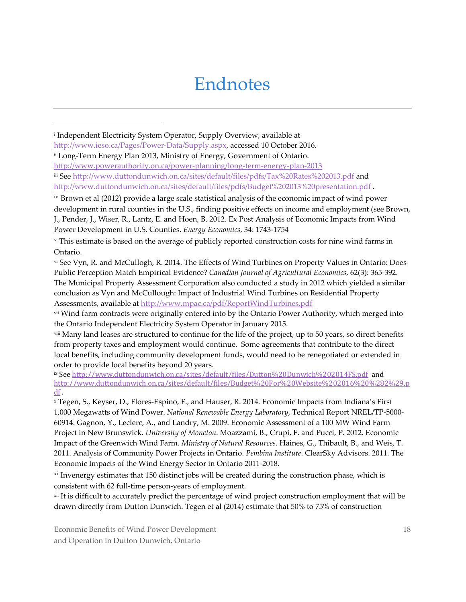### Endnotes

 i Independent Electricity System Operator, Supply Overview, available at [http://www.ieso.ca/Pages/Power-Data/Supply.aspx,](http://www.ieso.ca/Pages/Power-Data/Supply.aspx) accessed 10 October 2016.

ii Long-Term Energy Plan 2013, Ministry of Energy, Government of Ontario.

<http://www.powerauthority.on.ca/power-planning/long-term-energy-plan-2013>

iii See<http://www.duttondunwich.on.ca/sites/default/files/pdfs/Tax%20Rates%202013.pdf> and <http://www.duttondunwich.on.ca/sites/default/files/pdfs/Budget%202013%20presentation.pdf> .

iv Brown et al (2012) provide a large scale statistical analysis of the economic impact of wind power development in rural counties in the U.S., finding positive effects on income and employment (see Brown, J., Pender, J., Wiser, R., Lantz, E. and Hoen, B. 2012. Ex Post Analysis of Economic Impacts from Wind Power Development in U.S. Counties. *Energy Economics*, 34: 1743-1754

<sup>v</sup> This estimate is based on the average of publicly reported construction costs for nine wind farms in Ontario.

vi See Vyn, R. and McCullogh, R. 2014. The Effects of Wind Turbines on Property Values in Ontario: Does Public Perception Match Empirical Evidence? *Canadian Journal of Agricultural Economics*, 62(3): 365-392. The Municipal Property Assessment Corporation also conducted a study in 2012 which yielded a similar conclusion as Vyn and McCullough: Impact of Industrial Wind Turbines on Residential Property Assessments, available at<http://www.mpac.ca/pdf/ReportWindTurbines.pdf>

vii Wind farm contracts were originally entered into by the Ontario Power Authority, which merged into the Ontario Independent Electricity System Operator in January 2015.

viii Many land leases are structured to continue for the life of the project, up to 50 years, so direct benefits from property taxes and employment would continue. Some agreements that contribute to the direct local benefits, including community development funds, would need to be renegotiated or extended in order to provide local benefits beyond 20 years.

ix See<http://www.duttondunwich.on.ca/sites/default/files/Dutton%20Dunwich%202014FS.pdf>and [http://www.duttondunwich.on.ca/sites/default/files/Budget%20For%20Website%202016%20%282%29.p](http://www.duttondunwich.on.ca/sites/default/files/Budget%20For%20Website%202016%20%282%29.pdf) [df](http://www.duttondunwich.on.ca/sites/default/files/Budget%20For%20Website%202016%20%282%29.pdf) .

<sup>x</sup> Tegen, S., Keyser, D., Flores-Espino, F., and Hauser, R. 2014. Economic Impacts from Indiana's First 1,000 Megawatts of Wind Power. *National Renewable Energy Laboratory*, Technical Report NREL/TP-5000- 60914. Gagnon, Y., Leclerc, A., and Landry, M. 2009. Economic Assessment of a 100 MW Wind Farm Project in New Brunswick. *University of Moncton*. Moazzami, B., Crupi, F. and Pucci, P. 2012. Economic Impact of the Greenwich Wind Farm. *Ministry of Natural Resources*. Haines, G., Thibault, B., and Weis, T. 2011. Analysis of Community Power Projects in Ontario. *Pembina Institute*. ClearSky Advisors. 2011. The Economic Impacts of the Wind Energy Sector in Ontario 2011-2018.

 $x<sup>i</sup>$  Invenergy estimates that 150 distinct jobs will be created during the construction phase, which is consistent with 62 full-time person-years of employment.

xii It is difficult to accurately predict the percentage of wind project construction employment that will be drawn directly from Dutton Dunwich. Tegen et al (2014) estimate that 50% to 75% of construction